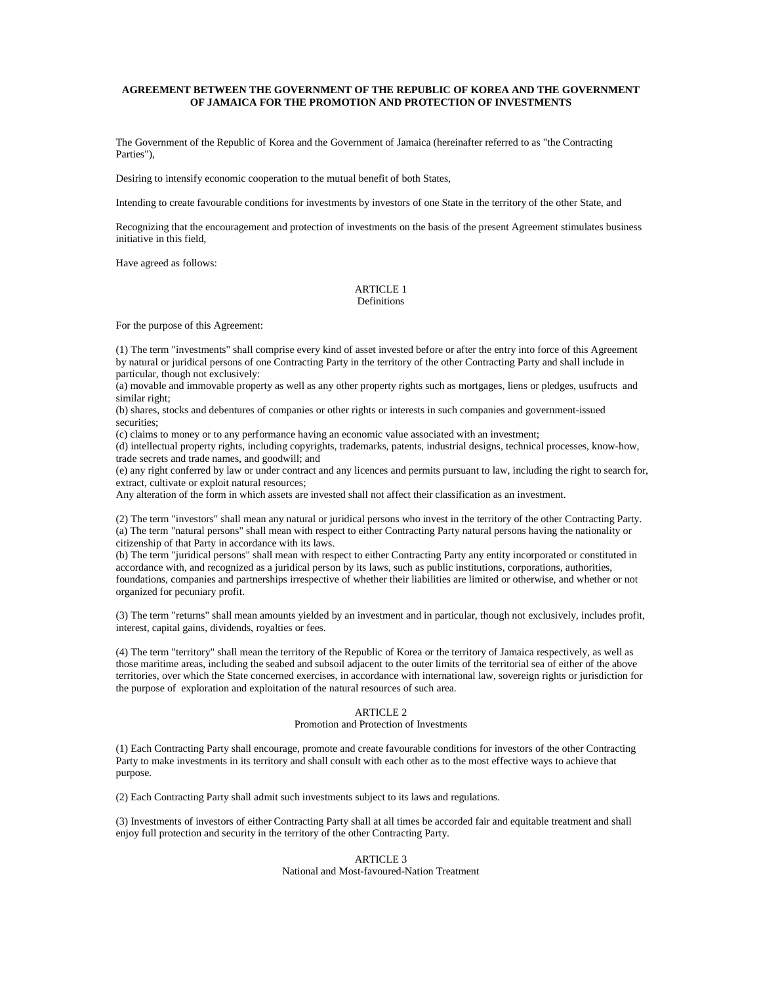## **AGREEMENT BETWEEN THE GOVERNMENT OF THE REPUBLIC OF KOREA AND THE GOVERNMENT OF JAMAICA FOR THE PROMOTION AND PROTECTION OF INVESTMENTS**

The Government of the Republic of Korea and the Government of Jamaica (hereinafter referred to as "the Contracting Parties")

Desiring to intensify economic cooperation to the mutual benefit of both States,

Intending to create favourable conditions for investments by investors of one State in the territory of the other State, and

Recognizing that the encouragement and protection of investments on the basis of the present Agreement stimulates business initiative in this field,

Have agreed as follows:

## ARTICLE 1 Definitions

For the purpose of this Agreement:

(1) The term "investments" shall comprise every kind of asset invested before or after the entry into force of this Agreement by natural or juridical persons of one Contracting Party in the territory of the other Contracting Party and shall include in particular, though not exclusively:

(a) movable and immovable property as well as any other property rights such as mortgages, liens or pledges, usufructs and similar right:

(b) shares, stocks and debentures of companies or other rights or interests in such companies and government-issued securities:

(c) claims to money or to any performance having an economic value associated with an investment;

(d) intellectual property rights, including copyrights, trademarks, patents, industrial designs, technical processes, know-how, trade secrets and trade names, and goodwill; and

(e) any right conferred by law or under contract and any licences and permits pursuant to law, including the right to search for, extract, cultivate or exploit natural resources;

Any alteration of the form in which assets are invested shall not affect their classification as an investment.

(2) The term "investors" shall mean any natural or juridical persons who invest in the territory of the other Contracting Party. (a) The term "natural persons" shall mean with respect to either Contracting Party natural persons having the nationality or citizenship of that Party in accordance with its laws.

(b) The term "juridical persons" shall mean with respect to either Contracting Party any entity incorporated or constituted in accordance with, and recognized as a juridical person by its laws, such as public institutions, corporations, authorities, foundations, companies and partnerships irrespective of whether their liabilities are limited or otherwise, and whether or not organized for pecuniary profit.

(3) The term "returns" shall mean amounts yielded by an investment and in particular, though not exclusively, includes profit, interest, capital gains, dividends, royalties or fees.

(4) The term "territory" shall mean the territory of the Republic of Korea or the territory of Jamaica respectively, as well as those maritime areas, including the seabed and subsoil adjacent to the outer limits of the territorial sea of either of the above territories, over which the State concerned exercises, in accordance with international law, sovereign rights or jurisdiction for the purpose of exploration and exploitation of the natural resources of such area.

# ARTICLE 2

#### Promotion and Protection of Investments

(1) Each Contracting Party shall encourage, promote and create favourable conditions for investors of the other Contracting Party to make investments in its territory and shall consult with each other as to the most effective ways to achieve that purpose.

(2) Each Contracting Party shall admit such investments subject to its laws and regulations.

(3) Investments of investors of either Contracting Party shall at all times be accorded fair and equitable treatment and shall enjoy full protection and security in the territory of the other Contracting Party.

# ARTICLE 3 National and Most-favoured-Nation Treatment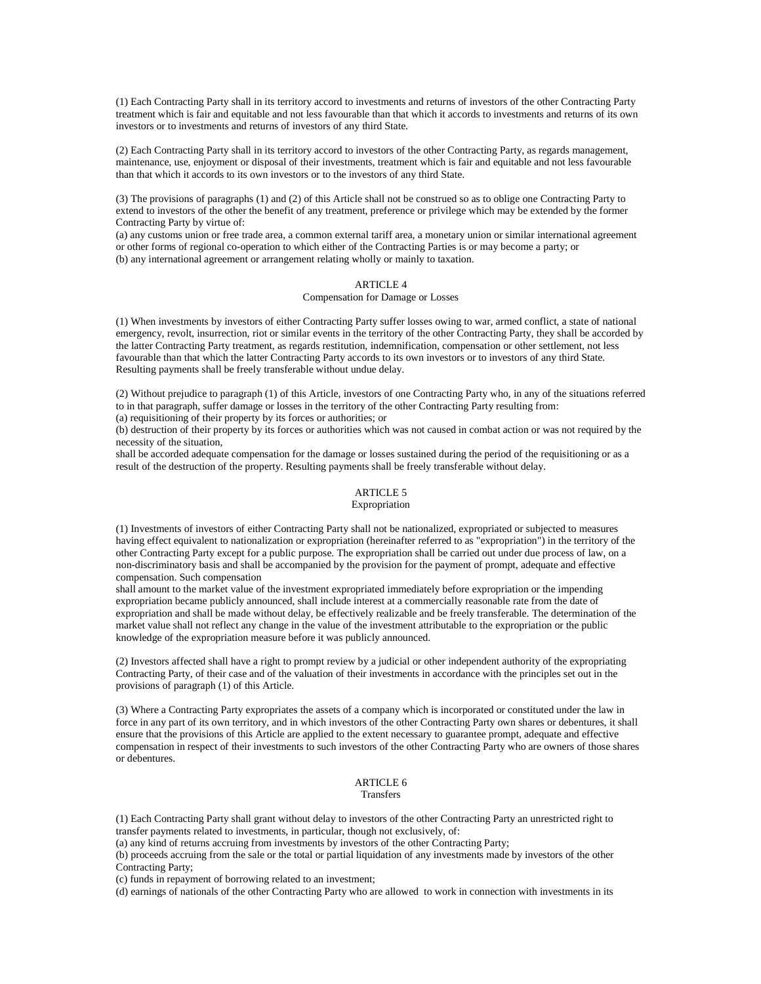(1) Each Contracting Party shall in its territory accord to investments and returns of investors of the other Contracting Party treatment which is fair and equitable and not less favourable than that which it accords to investments and returns of its own investors or to investments and returns of investors of any third State.

(2) Each Contracting Party shall in its territory accord to investors of the other Contracting Party, as regards management, maintenance, use, enjoyment or disposal of their investments, treatment which is fair and equitable and not less favourable than that which it accords to its own investors or to the investors of any third State.

(3) The provisions of paragraphs (1) and (2) of this Article shall not be construed so as to oblige one Contracting Party to extend to investors of the other the benefit of any treatment, preference or privilege which may be extended by the former Contracting Party by virtue of:

(a) any customs union or free trade area, a common external tariff area, a monetary union or similar international agreement or other forms of regional co-operation to which either of the Contracting Parties is or may become a party; or (b) any international agreement or arrangement relating wholly or mainly to taxation.

# ARTICLE 4

## Compensation for Damage or Losses

(1) When investments by investors of either Contracting Party suffer losses owing to war, armed conflict, a state of national emergency, revolt, insurrection, riot or similar events in the territory of the other Contracting Party, they shall be accorded by the latter Contracting Party treatment, as regards restitution, indemnification, compensation or other settlement, not less favourable than that which the latter Contracting Party accords to its own investors or to investors of any third State. Resulting payments shall be freely transferable without undue delay.

(2) Without prejudice to paragraph (1) of this Article, investors of one Contracting Party who, in any of the situations referred to in that paragraph, suffer damage or losses in the territory of the other Contracting Party resulting from:

(a) requisitioning of their property by its forces or authorities; or

(b) destruction of their property by its forces or authorities which was not caused in combat action or was not required by the necessity of the situation,

shall be accorded adequate compensation for the damage or losses sustained during the period of the requisitioning or as a result of the destruction of the property. Resulting payments shall be freely transferable without delay.

### ARTICLE 5 Expropriation

(1) Investments of investors of either Contracting Party shall not be nationalized, expropriated or subjected to measures having effect equivalent to nationalization or expropriation (hereinafter referred to as "expropriation") in the territory of the other Contracting Party except for a public purpose. The expropriation shall be carried out under due process of law, on a non-discriminatory basis and shall be accompanied by the provision for the payment of prompt, adequate and effective compensation. Such compensation

shall amount to the market value of the investment expropriated immediately before expropriation or the impending expropriation became publicly announced, shall include interest at a commercially reasonable rate from the date of expropriation and shall be made without delay, be effectively realizable and be freely transferable. The determination of the market value shall not reflect any change in the value of the investment attributable to the expropriation or the public knowledge of the expropriation measure before it was publicly announced.

(2) Investors affected shall have a right to prompt review by a judicial or other independent authority of the expropriating Contracting Party, of their case and of the valuation of their investments in accordance with the principles set out in the provisions of paragraph (1) of this Article.

(3) Where a Contracting Party expropriates the assets of a company which is incorporated or constituted under the law in force in any part of its own territory, and in which investors of the other Contracting Party own shares or debentures, it shall ensure that the provisions of this Article are applied to the extent necessary to guarantee prompt, adequate and effective compensation in respect of their investments to such investors of the other Contracting Party who are owners of those shares or debentures.

#### ARTICLE 6 Transfers

(1) Each Contracting Party shall grant without delay to investors of the other Contracting Party an unrestricted right to transfer payments related to investments, in particular, though not exclusively, of:

(a) any kind of returns accruing from investments by investors of the other Contracting Party;

(b) proceeds accruing from the sale or the total or partial liquidation of any investments made by investors of the other Contracting Party;

(c) funds in repayment of borrowing related to an investment;

(d) earnings of nationals of the other Contracting Party who are allowed to work in connection with investments in its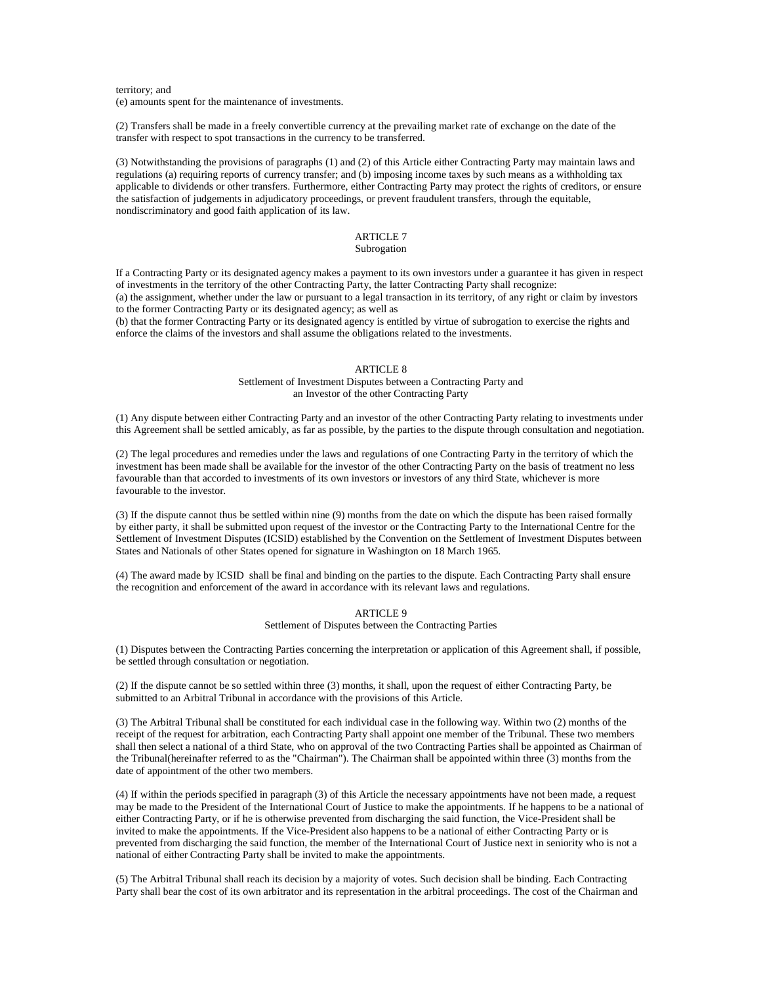## territory; and (e) amounts spent for the maintenance of investments.

(2) Transfers shall be made in a freely convertible currency at the prevailing market rate of exchange on the date of the transfer with respect to spot transactions in the currency to be transferred.

(3) Notwithstanding the provisions of paragraphs (1) and (2) of this Article either Contracting Party may maintain laws and regulations (a) requiring reports of currency transfer; and (b) imposing income taxes by such means as a withholding tax applicable to dividends or other transfers. Furthermore, either Contracting Party may protect the rights of creditors, or ensure the satisfaction of judgements in adjudicatory proceedings, or prevent fraudulent transfers, through the equitable, nondiscriminatory and good faith application of its law.

# ARTICLE 7

# Subrogation

If a Contracting Party or its designated agency makes a payment to its own investors under a guarantee it has given in respect of investments in the territory of the other Contracting Party, the latter Contracting Party shall recognize: (a) the assignment, whether under the law or pursuant to a legal transaction in its territory, of any right or claim by investors to the former Contracting Party or its designated agency; as well as (b) that the former Contracting Party or its designated agency is entitled by virtue of subrogation to exercise the rights and

enforce the claims of the investors and shall assume the obligations related to the investments.

## ARTICLE 8

Settlement of Investment Disputes between a Contracting Party and an Investor of the other Contracting Party

(1) Any dispute between either Contracting Party and an investor of the other Contracting Party relating to investments under this Agreement shall be settled amicably, as far as possible, by the parties to the dispute through consultation and negotiation.

(2) The legal procedures and remedies under the laws and regulations of one Contracting Party in the territory of which the investment has been made shall be available for the investor of the other Contracting Party on the basis of treatment no less favourable than that accorded to investments of its own investors or investors of any third State, whichever is more favourable to the investor.

(3) If the dispute cannot thus be settled within nine (9) months from the date on which the dispute has been raised formally by either party, it shall be submitted upon request of the investor or the Contracting Party to the International Centre for the Settlement of Investment Disputes (ICSID) established by the Convention on the Settlement of Investment Disputes between States and Nationals of other States opened for signature in Washington on 18 March 1965.

(4) The award made by ICSID shall be final and binding on the parties to the dispute. Each Contracting Party shall ensure the recognition and enforcement of the award in accordance with its relevant laws and regulations.

## ARTICLE 9 Settlement of Disputes between the Contracting Parties

(1) Disputes between the Contracting Parties concerning the interpretation or application of this Agreement shall, if possible, be settled through consultation or negotiation.

(2) If the dispute cannot be so settled within three (3) months, it shall, upon the request of either Contracting Party, be submitted to an Arbitral Tribunal in accordance with the provisions of this Article.

(3) The Arbitral Tribunal shall be constituted for each individual case in the following way. Within two (2) months of the receipt of the request for arbitration, each Contracting Party shall appoint one member of the Tribunal. These two members shall then select a national of a third State, who on approval of the two Contracting Parties shall be appointed as Chairman of the Tribunal(hereinafter referred to as the "Chairman"). The Chairman shall be appointed within three (3) months from the date of appointment of the other two members.

(4) If within the periods specified in paragraph (3) of this Article the necessary appointments have not been made, a request may be made to the President of the International Court of Justice to make the appointments. If he happens to be a national of either Contracting Party, or if he is otherwise prevented from discharging the said function, the Vice-President shall be invited to make the appointments. If the Vice-President also happens to be a national of either Contracting Party or is prevented from discharging the said function, the member of the International Court of Justice next in seniority who is not a national of either Contracting Party shall be invited to make the appointments.

(5) The Arbitral Tribunal shall reach its decision by a majority of votes. Such decision shall be binding. Each Contracting Party shall bear the cost of its own arbitrator and its representation in the arbitral proceedings. The cost of the Chairman and